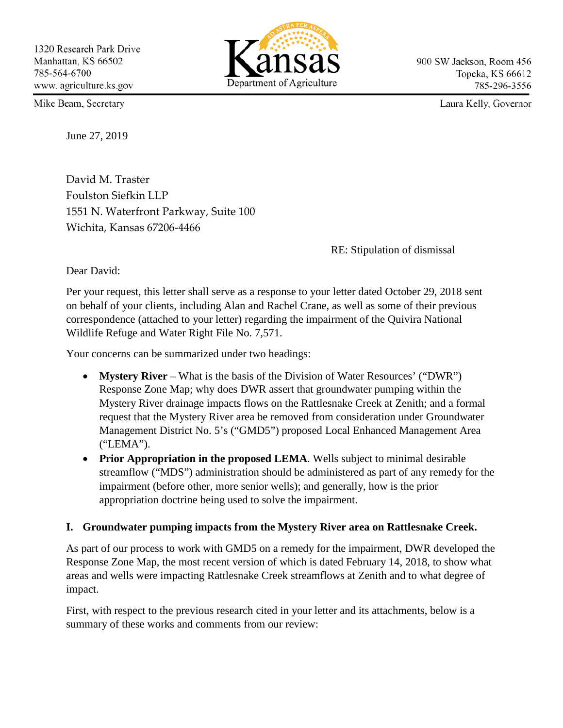

900 SW Jackson, Room 456 Topeka, KS 66612 785-296-3556

Laura Kelly, Governor

Mike Beam, Secretary

June 27, 2019

David M. Traster Foulston Siefkin LLP 1551 N. Waterfront Parkway, Suite 100 Wichita, Kansas 67206-4466

RE: Stipulation of dismissal

Dear David:

Per your request, this letter shall serve as a response to your letter dated October 29, 2018 sent on behalf of your clients, including Alan and Rachel Crane, as well as some of their previous correspondence (attached to your letter) regarding the impairment of the Quivira National Wildlife Refuge and Water Right File No. 7,571.

Your concerns can be summarized under two headings:

- **Mystery River** What is the basis of the Division of Water Resources' ("DWR") Response Zone Map; why does DWR assert that groundwater pumping within the Mystery River drainage impacts flows on the Rattlesnake Creek at Zenith; and a formal request that the Mystery River area be removed from consideration under Groundwater Management District No. 5's ("GMD5") proposed Local Enhanced Management Area ("LEMA").
- **Prior Appropriation in the proposed LEMA**. Wells subject to minimal desirable streamflow ("MDS") administration should be administered as part of any remedy for the impairment (before other, more senior wells); and generally, how is the prior appropriation doctrine being used to solve the impairment.

## **I. Groundwater pumping impacts from the Mystery River area on Rattlesnake Creek.**

As part of our process to work with GMD5 on a remedy for the impairment, DWR developed the Response Zone Map, the most recent version of which is dated February 14, 2018, to show what areas and wells were impacting Rattlesnake Creek streamflows at Zenith and to what degree of impact.

First, with respect to the previous research cited in your letter and its attachments, below is a summary of these works and comments from our review: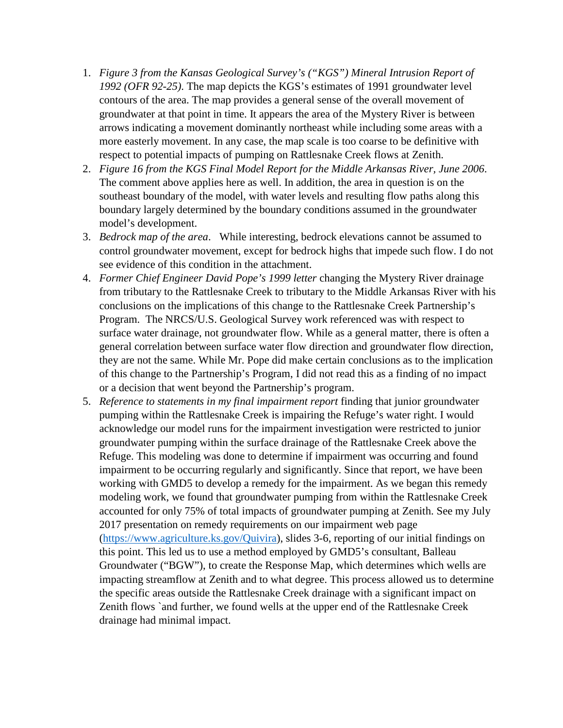- 1. *Figure 3 from the Kansas Geological Survey's ("KGS") Mineral Intrusion Report of 1992 (OFR 92-25)*. The map depicts the KGS's estimates of 1991 groundwater level contours of the area. The map provides a general sense of the overall movement of groundwater at that point in time. It appears the area of the Mystery River is between arrows indicating a movement dominantly northeast while including some areas with a more easterly movement. In any case, the map scale is too coarse to be definitive with respect to potential impacts of pumping on Rattlesnake Creek flows at Zenith.
- 2. *Figure 16 from the KGS Final Model Report for the Middle Arkansas River, June 2006*. The comment above applies here as well. In addition, the area in question is on the southeast boundary of the model, with water levels and resulting flow paths along this boundary largely determined by the boundary conditions assumed in the groundwater model's development.
- 3. *Bedrock map of the area*. While interesting, bedrock elevations cannot be assumed to control groundwater movement, except for bedrock highs that impede such flow. I do not see evidence of this condition in the attachment.
- 4. *Former Chief Engineer David Pope's 1999 letter* changing the Mystery River drainage from tributary to the Rattlesnake Creek to tributary to the Middle Arkansas River with his conclusions on the implications of this change to the Rattlesnake Creek Partnership's Program. The NRCS/U.S. Geological Survey work referenced was with respect to surface water drainage, not groundwater flow. While as a general matter, there is often a general correlation between surface water flow direction and groundwater flow direction, they are not the same. While Mr. Pope did make certain conclusions as to the implication of this change to the Partnership's Program, I did not read this as a finding of no impact or a decision that went beyond the Partnership's program.
- 5. *Reference to statements in my final impairment report* finding that junior groundwater pumping within the Rattlesnake Creek is impairing the Refuge's water right. I would acknowledge our model runs for the impairment investigation were restricted to junior groundwater pumping within the surface drainage of the Rattlesnake Creek above the Refuge. This modeling was done to determine if impairment was occurring and found impairment to be occurring regularly and significantly. Since that report, we have been working with GMD5 to develop a remedy for the impairment. As we began this remedy modeling work, we found that groundwater pumping from within the Rattlesnake Creek accounted for only 75% of total impacts of groundwater pumping at Zenith. See my July 2017 presentation on remedy requirements on our impairment web page [\(https://www.agriculture.ks.gov/Quivira\)](https://www.agriculture.ks.gov/Quivira), slides 3-6, reporting of our initial findings on this point. This led us to use a method employed by GMD5's consultant, Balleau Groundwater ("BGW"), to create the Response Map, which determines which wells are impacting streamflow at Zenith and to what degree. This process allowed us to determine the specific areas outside the Rattlesnake Creek drainage with a significant impact on Zenith flows `and further, we found wells at the upper end of the Rattlesnake Creek drainage had minimal impact.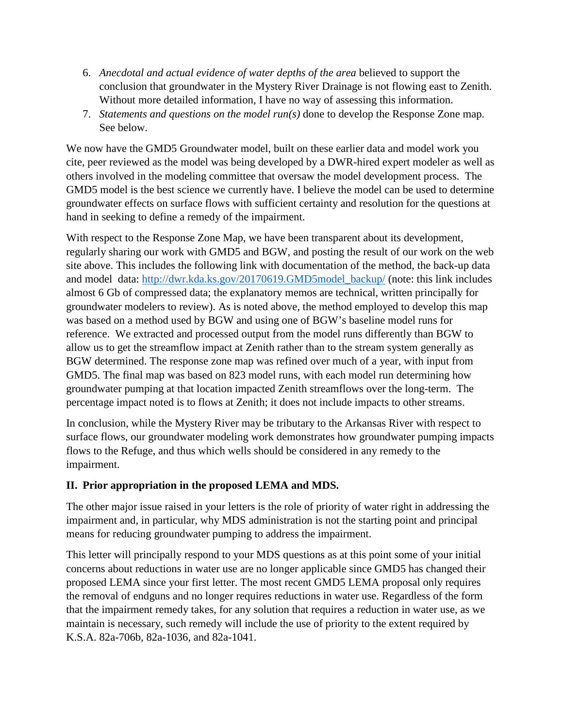- 6. *Anecdotal and actual evidence of water depths of the area* believed to support the conclusion that groundwater in the Mystery River Drainage is not flowing east to Zenith. Without more detailed information, I have no way of assessing this information.
- 7. *Statements and questions on the model run(s)* done to develop the Response Zone map. See below.

We now have the GMD5 Groundwater model, built on these earlier data and model work you cite, peer reviewed as the model was being developed by a DWR-hired expert modeler as well as others involved in the modeling committee that oversaw the model development process. The GMD5 model is the best science we currently have. I believe the model can be used to determine groundwater effects on surface flows with sufficient certainty and resolution for the questions at hand in seeking to define a remedy of the impairment.

With respect to the Response Zone Map, we have been transparent about its development, regularly sharing our work with GMD5 and BGW, and posting the result of our work on the web site above. This includes the following link with documentation of the method, the back-up data and model data: [http://dwr.kda.ks.gov/20170619.GMD5model\\_backup/](http://dwr.kda.ks.gov/20170619.GMD5model_backup/) (note: this link includes almost 6 Gb of compressed data; the explanatory memos are technical, written principally for groundwater modelers to review). As is noted above, the method employed to develop this map was based on a method used by BGW and using one of BGW's baseline model runs for reference. We extracted and processed output from the model runs differently than BGW to allow us to get the streamflow impact at Zenith rather than to the stream system generally as BGW determined. The response zone map was refined over much of a year, with input from GMD5. The final map was based on 823 model runs, with each model run determining how groundwater pumping at that location impacted Zenith streamflows over the long-term. The percentage impact noted is to flows at Zenith; it does not include impacts to other streams.

In conclusion, while the Mystery River may be tributary to the Arkansas River with respect to surface flows, our groundwater modeling work demonstrates how groundwater pumping impacts flows to the Refuge, and thus which wells should be considered in any remedy to the impairment.

## **II. Prior appropriation in the proposed LEMA and MDS.**

The other major issue raised in your letters is the role of priority of water right in addressing the impairment and, in particular, why MDS administration is not the starting point and principal means for reducing groundwater pumping to address the impairment.

This letter will principally respond to your MDS questions as at this point some of your initial concerns about reductions in water use are no longer applicable since GMD5 has changed their proposed LEMA since your first letter. The most recent GMD5 LEMA proposal only requires the removal of endguns and no longer requires reductions in water use. Regardless of the form that the impairment remedy takes, for any solution that requires a reduction in water use, as we maintain is necessary, such remedy will include the use of priority to the extent required by K.S.A. 82a-706b, 82a-1036, and 82a-1041.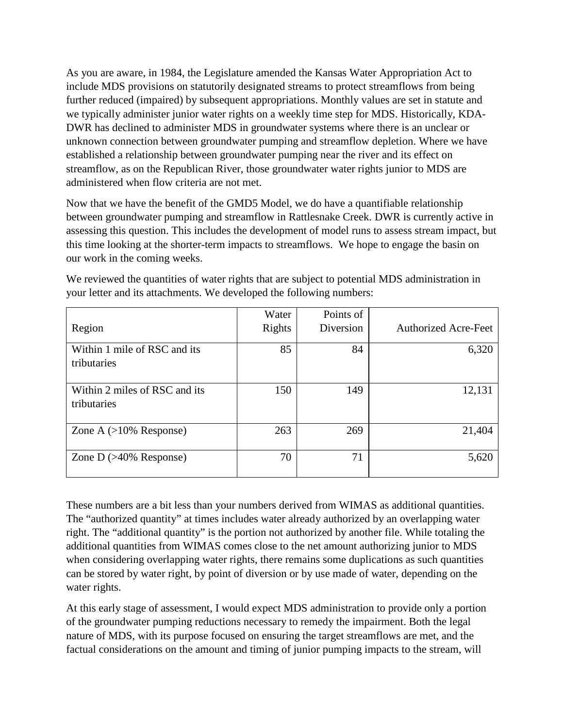As you are aware, in 1984, the Legislature amended the Kansas Water Appropriation Act to include MDS provisions on statutorily designated streams to protect streamflows from being further reduced (impaired) by subsequent appropriations. Monthly values are set in statute and we typically administer junior water rights on a weekly time step for MDS. Historically, KDA-DWR has declined to administer MDS in groundwater systems where there is an unclear or unknown connection between groundwater pumping and streamflow depletion. Where we have established a relationship between groundwater pumping near the river and its effect on streamflow, as on the Republican River, those groundwater water rights junior to MDS are administered when flow criteria are not met.

Now that we have the benefit of the GMD5 Model, we do have a quantifiable relationship between groundwater pumping and streamflow in Rattlesnake Creek. DWR is currently active in assessing this question. This includes the development of model runs to assess stream impact, but this time looking at the shorter-term impacts to streamflows. We hope to engage the basin on our work in the coming weeks.

|                                              | Water  | Points of |                             |
|----------------------------------------------|--------|-----------|-----------------------------|
| Region                                       | Rights | Diversion | <b>Authorized Acre-Feet</b> |
| Within 1 mile of RSC and its<br>tributaries  | 85     | 84        | 6,320                       |
| Within 2 miles of RSC and its<br>tributaries | 150    | 149       | 12,131                      |
| Zone A $(>10\%$ Response)                    | 263    | 269       | 21,404                      |
| Zone D $(>40\%$ Response)                    | 70     | 71        | 5,620                       |

We reviewed the quantities of water rights that are subject to potential MDS administration in your letter and its attachments. We developed the following numbers:

These numbers are a bit less than your numbers derived from WIMAS as additional quantities. The "authorized quantity" at times includes water already authorized by an overlapping water right. The "additional quantity" is the portion not authorized by another file. While totaling the additional quantities from WIMAS comes close to the net amount authorizing junior to MDS when considering overlapping water rights, there remains some duplications as such quantities can be stored by water right, by point of diversion or by use made of water, depending on the water rights.

At this early stage of assessment, I would expect MDS administration to provide only a portion of the groundwater pumping reductions necessary to remedy the impairment. Both the legal nature of MDS, with its purpose focused on ensuring the target streamflows are met, and the factual considerations on the amount and timing of junior pumping impacts to the stream, will